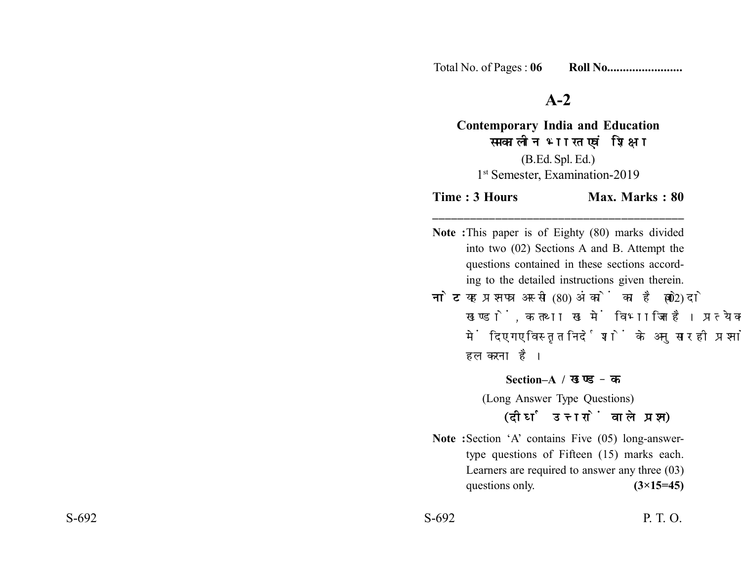Total No. of Pages : **06 Roll No........................**

## **A-2**

**Contemporary India and Education** समकालीन भारत एवं शिक्षा (B.Ed. Spl. Ed.) 1<sup>st</sup> Semester, Examination-2019

**Time : 3 Hours Max. Marks : 80 \_\_\_\_\_\_\_\_\_\_\_\_\_\_\_\_\_\_\_\_\_\_\_\_\_\_\_\_\_\_\_\_\_\_\_\_\_\_\_\_**

**Note :**This paper is of Eighty (80) marks divided into two (02) Sections A and B. Attempt the questions contained in these sections according to the detailed instructions given therein.

**नोट:** यह प्रश्नपत्र अस्सी (80) अंकों का है जो दो (02) खण्डों, क तथा ख में विभाजित है। प्रत्येक खण्ड में दिए गए विस्तृत निर्देशों के अनुसार ही प्रश्नों को हल करना है।

**Section–A /** 

(Long Answer Type Questions)

(दीर्घ उत्तरों वाले प्रश्न)

**Note :**Section 'A' contains Five (05) long-answertype questions of Fifteen (15) marks each. Learners are required to answer any three (03) questions only. **(3×15=45)** 

 $S-692$  P. T. O.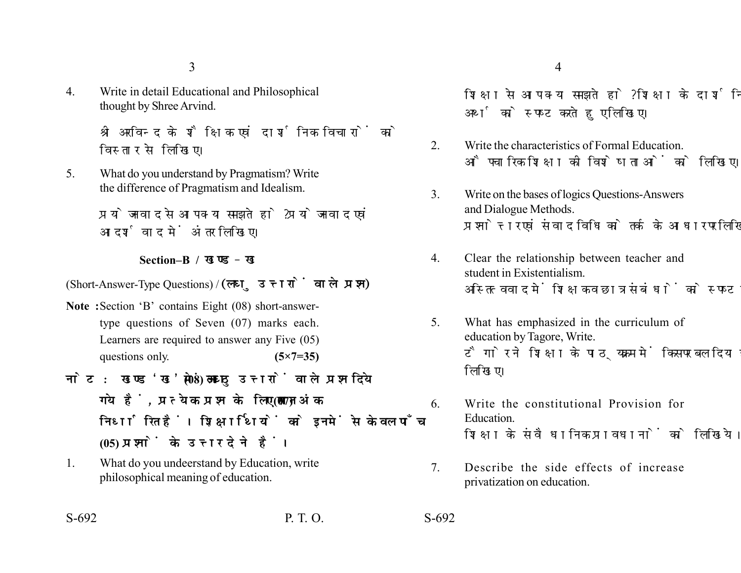3

4. Write in detail Educational and Philosophical thought by Shree Arvind.

> श्री अरविन्द के शैक्षिक एवं दार्शनिक विचारों को विस्तार से लिखिए।

5. What do you understand by Pragmatism? Write the difference of Pragmatism and Idealism.

> प्रयोजनवाद से आप क्या समझते हो ? प्रयोजनवाद एवं आदर्शवाद में अंतर लिखिए।

## **Section–B /**

(Short-Answer-Type Questions) / (लघु उत्तरों वाले प्रश्न)

- **Note :**Section 'B' contains Eight (08) short-answertype questions of Seven (07) marks each. Learners are required to answer any Five (05) questions only. **(5×7=35)**
- नोट: खण्ड'ख' में आठ (08) लघु उत्तरों वाले प्रश्न दिये गये हैं, प्रत्येक प्रश्न के लिए सात (07) अंक निर्धारित हैं। शिक्षार्थियों को इनमें से केवल पाँच **(05) प्रश्नों के उत्तर देने हैं।**
- 1. What do you undeerstand by Education, write philosophical meaning of education.

S-692 P. T. O. S-692

शिक्षा से आप क्या समझते हो? शिक्षा के दार्शनिक 4

अर्थ को स्पष्ट करते हुए लिखिए।

- 2. Write the characteristics of Formal Education. औपचारिक शिक्षा की विशेषताओं को लिखिए।
- 3. Write on the bases of logics Questions-Answers and Dialogue Methods. प्रश्नोत्तर एवं संवाद विधि को तर्क के आधार पर लिखिए।
- 4. Clear the relationship between teacher and student in Existentialism. अस्तित्ववाद में शिक्षक व छात्र संबंधों को स्पष्ट कीजिए।
- 5. What has emphasized in the curriculum of education by Tagore, Write. टैगोर ने शिक्षा के पाठ्यक्रम में किस पर बल दिया है. लिखिए।
- 6. Write the constitutional Provision for Education. शिक्षा के संवैधानिक प्रावधानों को लिखिये।
- 7. Describe the side effects of increase privatization on education.